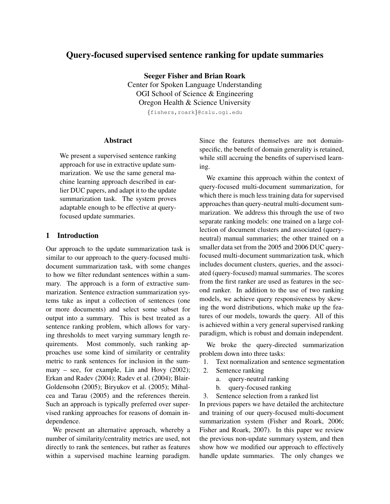# Query-focused supervised sentence ranking for update summaries

Seeger Fisher and Brian Roark

Center for Spoken Language Understanding OGI School of Science & Engineering Oregon Health & Science University

{fishers,roark}@cslu.ogi.edu

### Abstract

We present a supervised sentence ranking approach for use in extractive update summarization. We use the same general machine learning approach described in earlier DUC papers, and adapt it to the update summarization task. The system proves adaptable enough to be effective at queryfocused update summaries.

## 1 Introduction

Our approach to the update summarization task is similar to our approach to the query-focused multidocument summarization task, with some changes to how we filter redundant sentences within a summary. The approach is a form of extractive summarization. Sentence extraction summarization systems take as input a collection of sentences (one or more documents) and select some subset for output into a summary. This is best treated as a sentence ranking problem, which allows for varying thresholds to meet varying summary length requirements. Most commonly, such ranking approaches use some kind of similarity or centrality metric to rank sentences for inclusion in the summary – see, for example, Lin and Hovy (2002); Erkan and Radev (2004); Radev et al. (2004); Blair-Goldensohn (2005); Biryukov et al. (2005); Mihalcea and Tarau (2005) and the references therein. Such an approach is typically preferred over supervised ranking approaches for reasons of domain independence.

We present an alternative approach, whereby a number of similarity/centrality metrics are used, not directly to rank the sentences, but rather as features within a supervised machine learning paradigm.

Since the features themselves are not domainspecific, the benefit of domain generality is retained, while still accruing the benefits of supervised learning.

We examine this approach within the context of query-focused multi-document summarization, for which there is much less training data for supervised approaches than query-neutral multi-document summarization. We address this through the use of two separate ranking models: one trained on a large collection of document clusters and associated (queryneutral) manual summaries; the other trained on a smaller data set from the 2005 and 2006 DUC queryfocused multi-document summarization task, which includes document clusters, queries, and the associated (query-focused) manual summaries. The scores from the first ranker are used as features in the second ranker. In addition to the use of two ranking models, we achieve query responsiveness by skewing the word distributions, which make up the features of our models, towards the query. All of this is achieved within a very general supervised ranking paradigm, which is robust and domain independent.

We broke the query-directed summarization problem down into three tasks:

- 1. Text normalization and sentence segmentation
- 2. Sentence ranking
	- a. query-neutral ranking
	- b. query-focused ranking
- 3. Sentence selection from a ranked list

In previous papers we have detailed the architecture and training of our query-focused multi-document summarization system (Fisher and Roark, 2006; Fisher and Roark, 2007). In this paper we review the previous non-update summary system, and then show how we modified our approach to effectively handle update summaries. The only changes we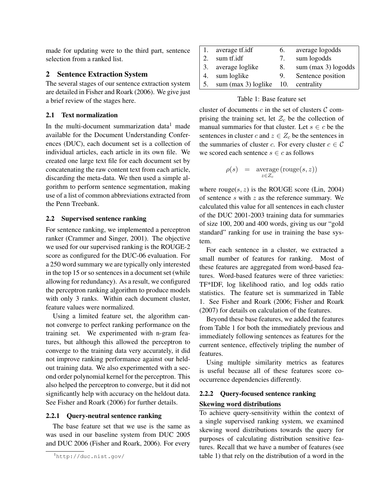made for updating were to the third part, sentence selection from a ranked list.

### 2 Sentence Extraction System

The several stages of our sentence extraction system are detailed in Fisher and Roark (2006). We give just a brief review of the stages here.

### 2.1 Text normalization

In the multi-document summarization data<sup>1</sup> made available for the Document Understanding Conferences (DUC), each document set is a collection of individual articles, each article in its own file. We created one large text file for each document set by concatenating the raw content text from each article, discarding the meta-data. We then used a simple algorithm to perform sentence segmentation, making use of a list of common abbreviations extracted from the Penn Treebank.

### 2.2 Supervised sentence ranking

For sentence ranking, we implemented a perceptron ranker (Crammer and Singer, 2001). The objective we used for our supervised ranking is the ROUGE-2 score as configured for the DUC-06 evaluation. For a 250 word summary we are typically only interested in the top 15 or so sentences in a document set (while allowing for redundancy). As a result, we configured the perceptron ranking algorithm to produce models with only 3 ranks. Within each document cluster, feature values were normalized.

Using a limited feature set, the algorithm cannot converge to perfect ranking performance on the training set. We experimented with n-gram features, but although this allowed the perceptron to converge to the training data very accurately, it did not improve ranking performance against our heldout training data. We also experimented with a second order polynomial kernel for the perceptron. This also helped the perceptron to converge, but it did not significantly help with accuracy on the heldout data. See Fisher and Roark (2006) for further details.

### 2.2.1 Query-neutral sentence ranking

The base feature set that we use is the same as was used in our baseline system from DUC 2005 and DUC 2006 (Fisher and Roark, 2006). For every

| 1. | average tf.idf                       | 6. | average logodds       |
|----|--------------------------------------|----|-----------------------|
| 2. | sum tf.idf                           | 7. | sum logodds           |
|    | 3. average loglike                   | 8. | sum $(max 3)$ logodds |
| 4. | sum loglike                          | 9. | Sentence position     |
| 5. | sum $(max 3)$ loglike 10. centrality |    |                       |

### Table 1: Base feature set

cluster of documents  $c$  in the set of clusters  $\mathcal C$  comprising the training set, let  $\mathcal{Z}_c$  be the collection of manual summaries for that cluster. Let  $s \in c$  be the sentences in cluster c and  $z \in Z_c$  be the sentences in the summaries of cluster c. For every cluster  $c \in \mathcal{C}$ we scored each sentence  $s \in c$  as follows

$$
\rho(s) = \operatorname{average}(\operatorname{rouge}(s, z))
$$
  

$$
z \in Z_c
$$

where  $rouge(s, z)$  is the ROUGE score (Lin, 2004) of sentence  $s$  with  $z$  as the reference summary. We calculated this value for all sentences in each cluster of the DUC 2001-2003 training data for summaries of size 100, 200 and 400 words, giving us our "gold standard" ranking for use in training the base system.

For each sentence in a cluster, we extracted a small number of features for ranking. Most of these features are aggregated from word-based features. Word-based features were of three varieties: TF\*IDF, log likelihood ratio, and log odds ratio statistics. The feature set is summarized in Table 1. See Fisher and Roark (2006; Fisher and Roark (2007) for details on calculation of the features.

Beyond these base features, we added the features from Table 1 for both the immediately previous and immediately following sentences as features for the current sentence, effectively tripling the number of features.

Using multiple similarity metrics as features is useful because all of these features score cooccurrence dependencies differently.

### 2.2.2 Query-focused sentence ranking

### Skewing word distributions

To achieve query-sensitivity within the context of a single supervised ranking system, we examined skewing word distributions towards the query for purposes of calculating distribution sensitive features. Recall that we have a number of features (see table 1) that rely on the distribution of a word in the

<sup>1</sup>http://duc.nist.gov/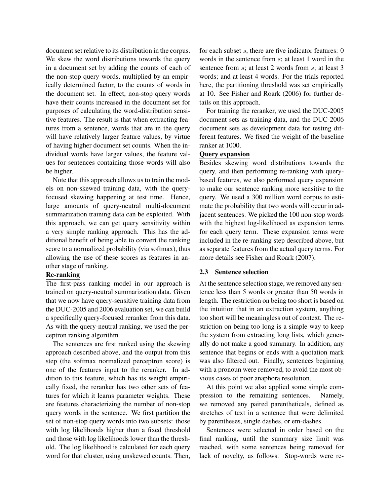document set relative to its distribution in the corpus. We skew the word distributions towards the query in a document set by adding the counts of each of the non-stop query words, multiplied by an empirically determined factor, to the counts of words in the document set. In effect, non-stop query words have their counts increased in the document set for purposes of calculating the word-distribution sensitive features. The result is that when extracting features from a sentence, words that are in the query will have relatively larger feature values, by virtue of having higher document set counts. When the individual words have larger values, the feature values for sentences containing those words will also be higher.

Note that this approach allows us to train the models on non-skewed training data, with the queryfocused skewing happening at test time. Hence, large amounts of query-neutral multi-document summarization training data can be exploited. With this approach, we can get query sensitivity within a very simple ranking approach. This has the additional benefit of being able to convert the ranking score to a normalized probability (via softmax), thus allowing the use of these scores as features in another stage of ranking.

### Re-ranking

The first-pass ranking model in our approach is trained on query-neutral summarization data. Given that we now have query-sensitive training data from the DUC-2005 and 2006 evaluation set, we can build a specifically query-focused reranker from this data. As with the query-neutral ranking, we used the perceptron ranking algorithm.

The sentences are first ranked using the skewing approach described above, and the output from this step (the softmax normalized perceptron score) is one of the features input to the reranker. In addition to this feature, which has its weight empirically fixed, the reranker has two other sets of features for which it learns parameter weights. These are features characterizing the number of non-stop query words in the sentence. We first partition the set of non-stop query words into two subsets: those with log likelihoods higher than a fixed threshold and those with log likelihoods lower than the threshold. The log likelihood is calculated for each query word for that cluster, using unskewed counts. Then,

for each subset s, there are five indicator features: 0 words in the sentence from s; at least 1 word in the sentence from s; at least 2 words from s; at least 3 words; and at least 4 words. For the trials reported here, the partitioning threshold was set empirically at 10. See Fisher and Roark (2006) for further details on this approach.

For training the reranker, we used the DUC-2005 document sets as training data, and the DUC-2006 document sets as development data for testing different features. We fixed the weight of the baseline ranker at 1000.

### Query expansion

Besides skewing word distributions towards the query, and then performing re-ranking with querybased features, we also performed query expansion to make our sentence ranking more sensitive to the query. We used a 300 million word corpus to estimate the probability that two words will occur in adjacent sentences. We picked the 100 non-stop words with the highest log-likelihood as expansion terms for each query term. These expansion terms were included in the re-ranking step described above, but as separate features from the actual query terms. For more details see Fisher and Roark (2007).

#### 2.3 Sentence selection

At the sentence selection stage, we removed any sentence less than 5 words or greater than 50 words in length. The restriction on being too short is based on the intuition that in an extraction system, anything too short will be meaningless out of context. The restriction on being too long is a simple way to keep the system from extracting long lists, which generally do not make a good summary. In addition, any sentence that begins or ends with a quotation mark was also filtered out. Finally, sentences beginning with a pronoun were removed, to avoid the most obvious cases of poor anaphora resolution.

At this point we also applied some simple compression to the remaining sentences. Namely, we removed any paired parentheticals, defined as stretches of text in a sentence that were delimited by parentheses, single dashes, or em-dashes.

Sentences were selected in order based on the final ranking, until the summary size limit was reached, with some sentences being removed for lack of novelty, as follows. Stop-words were re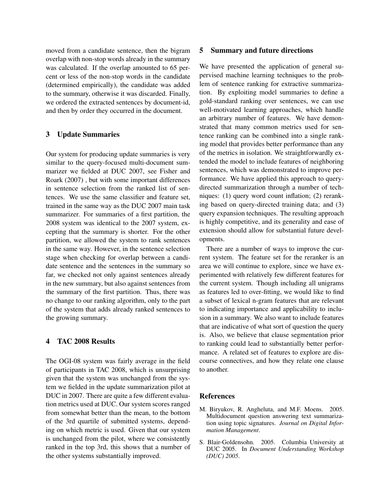moved from a candidate sentence, then the bigram overlap with non-stop words already in the summary was calculated. If the overlap amounted to 65 percent or less of the non-stop words in the candidate (determined empirically), the candidate was added to the summary, otherwise it was discarded. Finally, we ordered the extracted sentences by document-id, and then by order they occurred in the document.

### 3 Update Summaries

Our system for producing update summaries is very similar to the query-focused multi-document summarizer we fielded at DUC 2007, see Fisher and Roark (2007) , but with some important differences in sentence selection from the ranked list of sentences. We use the same classifier and feature set, trained in the same way as the DUC 2007 main task summarizer. For summaries of a first partition, the 2008 system was identical to the 2007 system, excepting that the summary is shorter. For the other partition, we allowed the system to rank sentences in the same way. However, in the sentence selection stage when checking for overlap between a candidate sentence and the sentences in the summary so far, we checked not only against sentences already in the new summary, but also against sentences from the summary of the first partition. Thus, there was no change to our ranking algorithm, only to the part of the system that adds already ranked sentences to the growing summary.

### 4 TAC 2008 Results

The OGI-08 system was fairly average in the field of participants in TAC 2008, which is unsurprising given that the system was unchanged from the system we fielded in the update summarization pilot at DUC in 2007. There are quite a few different evaluation metrics used at DUC. Our system scores ranged from somewhat better than the mean, to the bottom of the 3rd quartile of submitted systems, depending on which metric is used. Given that our system is unchanged from the pilot, where we consistently ranked in the top 3rd, this shows that a number of the other systems substantially improved.

### 5 Summary and future directions

We have presented the application of general supervised machine learning techniques to the problem of sentence ranking for extractive summarization. By exploiting model summaries to define a gold-standard ranking over sentences, we can use well-motivated learning approaches, which handle an arbitrary number of features. We have demonstrated that many common metrics used for sentence ranking can be combined into a single ranking model that provides better performance than any of the metrics in isolation. We straightforwardly extended the model to include features of neighboring sentences, which was demonstrated to improve performance. We have applied this approach to querydirected summarization through a number of techniques: (1) query word count inflation; (2) reranking based on query-directed training data; and (3) query expansion techniques. The resulting approach is highly competitive, and its generality and ease of extension should allow for substantial future developments.

There are a number of ways to improve the current system. The feature set for the reranker is an area we will continue to explore, since we have experimented with relatively few different features for the current system. Though including all unigrams as features led to over-fitting, we would like to find a subset of lexical n-gram features that are relevant to indicating importance and applicability to inclusion in a summary. We also want to include features that are indicative of what sort of question the query is. Also, we believe that clause segmentation prior to ranking could lead to substantially better performance. A related set of features to explore are discourse connectives, and how they relate one clause to another.

### References

- M. Biryukov, R. Angheluta, and M.F. Moens. 2005. Multidocument question answering text summarization using topic signatures. *Journal on Digital Information Management*.
- S. Blair-Goldensohn. 2005. Columbia University at DUC 2005. In *Document Understanding Workshop (DUC) 2005*.